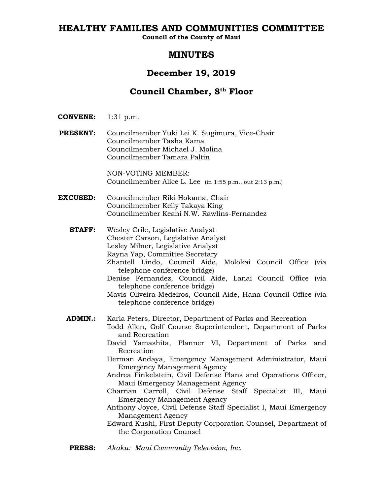# **HEALTHY FAMILIES AND COMMUNITIES COMMITTEE**

**Council of the County of Maui**

# **MINUTES**

# **December 19, 2019**

# **Council Chamber, 8th Floor**

- **CONVENE:** 1:31 p.m.
- **PRESENT:** Councilmember Yuki Lei K. Sugimura, Vice-Chair Councilmember Tasha Kama Councilmember Michael J. Molina Councilmember Tamara Paltin

NON-VOTING MEMBER: Councilmember Alice L. Lee (in 1:55 p.m., out 2:13 p.m.)

- **EXCUSED:** Councilmember Riki Hokama, Chair Councilmember Kelly Takaya King Councilmember Keani N.W. Rawlins-Fernandez
	- **STAFF:** Wesley Crile, Legislative Analyst Chester Carson, Legislative Analyst Lesley Milner, Legislative Analyst Rayna Yap, Committee Secretary Zhantell Lindo, Council Aide, Molokai Council Office (via telephone conference bridge) Denise Fernandez, Council Aide, Lanai Council Office (via telephone conference bridge) Mavis Oliveira-Medeiros, Council Aide, Hana Council Office (via telephone conference bridge) **ADMIN.:** Karla Peters, Director, Department of Parks and Recreation Todd Allen, Golf Course Superintendent, Department of Parks and Recreation David Yamashita, Planner VI, Department of Parks and Recreation Herman Andaya, Emergency Management Administrator, Maui Emergency Management Agency Andrea Finkelstein, Civil Defense Plans and Operations Officer, Maui Emergency Management Agency Charnan Carroll, Civil Defense Staff Specialist III, Maui
		- Emergency Management Agency Anthony Joyce, Civil Defense Staff Specialist I, Maui Emergency Management Agency
		- Edward Kushi, First Deputy Corporation Counsel, Department of the Corporation Counsel
	- **PRESS:** *Akaku: Maui Community Television, Inc.*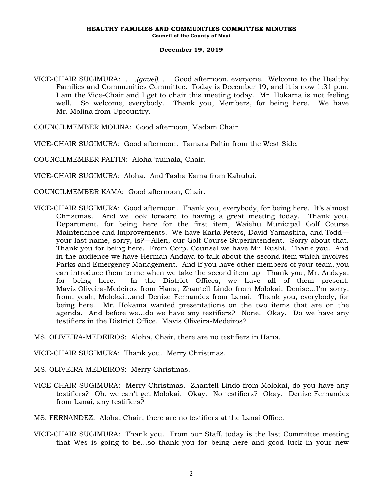VICE-CHAIR SUGIMURA: *. . .(gavel). . .* Good afternoon, everyone. Welcome to the Healthy Families and Communities Committee. Today is December 19, and it is now 1:31 p.m. I am the Vice-Chair and I get to chair this meeting today. Mr. Hokama is not feeling well. So welcome, everybody. Thank you, Members, for being here. We have Mr. Molina from Upcountry.

COUNCILMEMBER MOLINA: Good afternoon, Madam Chair.

VICE-CHAIR SUGIMURA: Good afternoon. Tamara Paltin from the West Side.

COUNCILMEMBER PALTIN: Aloha 'auinala, Chair.

VICE-CHAIR SUGIMURA: Aloha. And Tasha Kama from Kahului.

COUNCILMEMBER KAMA: Good afternoon, Chair.

- VICE-CHAIR SUGIMURA: Good afternoon. Thank you, everybody, for being here. It's almost Christmas. And we look forward to having a great meeting today. Thank you, Department, for being here for the first item, Waiehu Municipal Golf Course Maintenance and Improvements. We have Karla Peters, David Yamashita, and Todd your last name, sorry, is?—Allen, our Golf Course Superintendent. Sorry about that. Thank you for being here. From Corp. Counsel we have Mr. Kushi. Thank you. And in the audience we have Herman Andaya to talk about the second item which involves Parks and Emergency Management. And if you have other members of your team, you can introduce them to me when we take the second item up. Thank you, Mr. Andaya, for being here. In the District Offices, we have all of them present. Mavis Oliveira-Medeiros from Hana; Zhantell Lindo from Molokai; Denise…I'm sorry, from, yeah, Molokai…and Denise Fernandez from Lanai. Thank you, everybody, for being here. Mr. Hokama wanted presentations on the two items that are on the agenda. And before we…do we have any testifiers? None. Okay. Do we have any testifiers in the District Office. Mavis Oliveira-Medeiros?
- MS. OLIVEIRA-MEDEIROS: Aloha, Chair, there are no testifiers in Hana.
- VICE-CHAIR SUGIMURA: Thank you. Merry Christmas.
- MS. OLIVEIRA-MEDEIROS: Merry Christmas.
- VICE-CHAIR SUGIMURA: Merry Christmas. Zhantell Lindo from Molokai, do you have any testifiers? Oh, we can't get Molokai. Okay. No testifiers? Okay. Denise Fernandez from Lanai, any testifiers?

MS. FERNANDEZ: Aloha, Chair, there are no testifiers at the Lanai Office.

VICE-CHAIR SUGIMURA: Thank you. From our Staff, today is the last Committee meeting that Wes is going to be…so thank you for being here and good luck in your new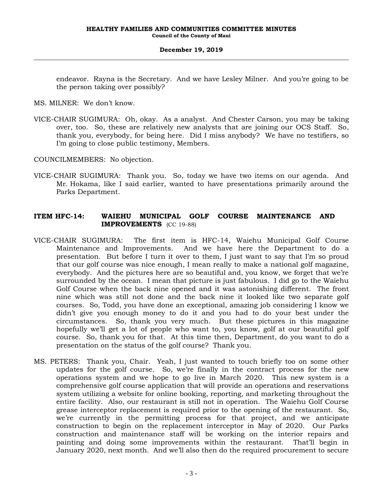endeavor. Rayna is the Secretary. And we have Lesley Milner. And you're going to be the person taking over possibly?

MS. MILNER: We don't know.

VICE-CHAIR SUGIMURA: Oh, okay. As a analyst. And Chester Carson, you may be taking over, too. So, these are relatively new analysts that are joining our OCS Staff. So, thank you, everybody, for being here. Did I miss anybody? We have no testifiers, so I'm going to close public testimony, Members.

COUNCILMEMBERS: No objection.

VICE-CHAIR SUGIMURA: Thank you. So, today we have two items on our agenda. And Mr. Hokama, like I said earlier, wanted to have presentations primarily around the Parks Department.

## **ITEM HFC-14: WAIEHU MUNICIPAL GOLF COURSE MAINTENANCE AND IMPROVEMENTS** (CC 19-88)

- VICE-CHAIR SUGIMURA: The first item is HFC-14, Waiehu Municipal Golf Course Maintenance and Improvements. And we have here the Department to do a presentation. But before I turn it over to them, I just want to say that I'm so proud that our golf course was nice enough, I mean really to make a national golf magazine, everybody. And the pictures here are so beautiful and, you know, we forget that we're surrounded by the ocean. I mean that picture is just fabulous. I did go to the Waiehu Golf Course when the back nine opened and it was astonishing different. The front nine which was still not done and the back nine it looked like two separate golf courses. So, Todd, you have done an exceptional, amazing job considering I know we didn't give you enough money to do it and you had to do your best under the circumstances. So, thank you very much. But these pictures in this magazine hopefully we'll get a lot of people who want to, you know, golf at our beautiful golf course. So, thank you for that. At this time then, Department, do you want to do a presentation on the status of the golf course? Thank you.
- MS. PETERS: Thank you, Chair. Yeah, I just wanted to touch briefly too on some other updates for the golf course. So, we're finally in the contract process for the new operations system and we hope to go live in March 2020. This new system is a comprehensive golf course application that will provide an operations and reservations system utilizing a website for online booking, reporting, and marketing throughout the entire facility. Also, our restaurant is still not in operation. The Waiehu Golf Course grease interceptor replacement is required prior to the opening of the restaurant. So, we're currently in the permitting process for that project, and we anticipate construction to begin on the replacement interceptor in May of 2020. Our Parks construction and maintenance staff will be working on the interior repairs and painting and doing some improvements within the restaurant. That'll begin in January 2020, next month. And we'll also then do the required procurement to secure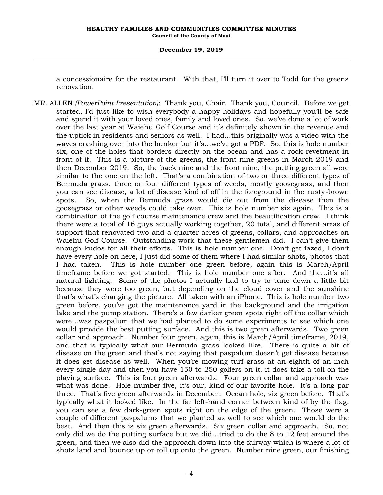a concessionaire for the restaurant. With that, I'll turn it over to Todd for the greens renovation.

MR. ALLEN *(PowerPoint Presentation)*: Thank you, Chair. Thank you, Council. Before we get started, I'd just like to wish everybody a happy holidays and hopefully you'll be safe and spend it with your loved ones, family and loved ones. So, we've done a lot of work over the last year at Waiehu Golf Course and it's definitely shown in the revenue and the uptick in residents and seniors as well. I had…this originally was a video with the waves crashing over into the bunker but it's…we've got a PDF. So, this is hole number six, one of the holes that borders directly on the ocean and has a rock revetment in front of it. This is a picture of the greens, the front nine greens in March 2019 and then December 2019. So, the back nine and the front nine, the putting green all were similar to the one on the left. That's a combination of two or three different types of Bermuda grass, three or four different types of weeds, mostly goosegrass, and then you can see disease, a lot of disease kind of off in the foreground in the rusty-brown spots. So, when the Bermuda grass would die out from the disease then the goosegrass or other weeds could take over. This is hole number six again. This is a combination of the golf course maintenance crew and the beautification crew. I think there were a total of 16 guys actually working together, 20 total, and different areas of support that renovated two-and-a-quarter acres of greens, collars, and approaches on Waiehu Golf Course. Outstanding work that these gentlemen did. I can't give them enough kudos for all their efforts. This is hole number one. Don't get fazed, I don't have every hole on here, I just did some of them where I had similar shots, photos that I had taken. This is hole number one green before, again this is March/April timeframe before we got started. This is hole number one after. And the…it's all natural lighting. Some of the photos I actually had to try to tune down a little bit because they were too green, but depending on the cloud cover and the sunshine that's what's changing the picture. All taken with an iPhone. This is hole number two green before, you've got the maintenance yard in the background and the irrigation lake and the pump station. There's a few darker green spots right off the collar which were…was paspalum that we had planted to do some experiments to see which one would provide the best putting surface. And this is two green afterwards. Two green collar and approach. Number four green, again, this is March/April timeframe, 2019, and that is typically what our Bermuda grass looked like. There is quite a bit of disease on the green and that's not saying that paspalum doesn't get disease because it does get disease as well. When you're mowing turf grass at an eighth of an inch every single day and then you have 150 to 250 golfers on it, it does take a toll on the playing surface. This is four green afterwards. Four green collar and approach was what was done. Hole number five, it's our, kind of our favorite hole. It's a long par three. That's five green afterwards in December. Ocean hole, six green before. That's typically what it looked like. In the far left-hand corner between kind of by the flag, you can see a few dark-green spots right on the edge of the green. Those were a couple of different paspalums that we planted as well to see which one would do the best. And then this is six green afterwards. Six green collar and approach. So, not only did we do the putting surface but we did…tried to do the 8 to 12 feet around the green, and then we also did the approach down into the fairway which is where a lot of shots land and bounce up or roll up onto the green. Number nine green, our finishing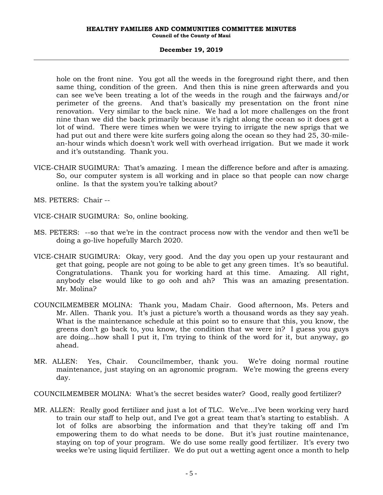#### **HEALTHY FAMILIES AND COMMUNITIES COMMITTEE MINUTES Council of the County of Maui**

#### **December 19, 2019**

hole on the front nine. You got all the weeds in the foreground right there, and then same thing, condition of the green. And then this is nine green afterwards and you can see we've been treating a lot of the weeds in the rough and the fairways and/or perimeter of the greens. And that's basically my presentation on the front nine renovation. Very similar to the back nine. We had a lot more challenges on the front nine than we did the back primarily because it's right along the ocean so it does get a lot of wind. There were times when we were trying to irrigate the new sprigs that we had put out and there were kite surfers going along the ocean so they had 25, 30-milean-hour winds which doesn't work well with overhead irrigation. But we made it work and it's outstanding. Thank you.

VICE-CHAIR SUGIMURA: That's amazing. I mean the difference before and after is amazing. So, our computer system is all working and in place so that people can now charge online. Is that the system you're talking about?

MS. PETERS: Chair --

VICE-CHAIR SUGIMURA: So, online booking.

- MS. PETERS: --so that we're in the contract process now with the vendor and then we'll be doing a go-live hopefully March 2020.
- VICE-CHAIR SUGIMURA: Okay, very good. And the day you open up your restaurant and get that going, people are not going to be able to get any green times. It's so beautiful. Congratulations. Thank you for working hard at this time. Amazing. All right, anybody else would like to go ooh and ah? This was an amazing presentation. Mr. Molina?
- COUNCILMEMBER MOLINA: Thank you, Madam Chair. Good afternoon, Ms. Peters and Mr. Allen. Thank you. It's just a picture's worth a thousand words as they say yeah. What is the maintenance schedule at this point so to ensure that this, you know, the greens don't go back to, you know, the condition that we were in? I guess you guys are doing…how shall I put it, I'm trying to think of the word for it, but anyway, go ahead.
- MR. ALLEN: Yes, Chair. Councilmember, thank you. We're doing normal routine maintenance, just staying on an agronomic program. We're mowing the greens every day.

COUNCILMEMBER MOLINA: What's the secret besides water? Good, really good fertilizer?

MR. ALLEN: Really good fertilizer and just a lot of TLC. We've…I've been working very hard to train our staff to help out, and I've got a great team that's starting to establish. A lot of folks are absorbing the information and that they're taking off and I'm empowering them to do what needs to be done. But it's just routine maintenance, staying on top of your program. We do use some really good fertilizer. It's every two weeks we're using liquid fertilizer. We do put out a wetting agent once a month to help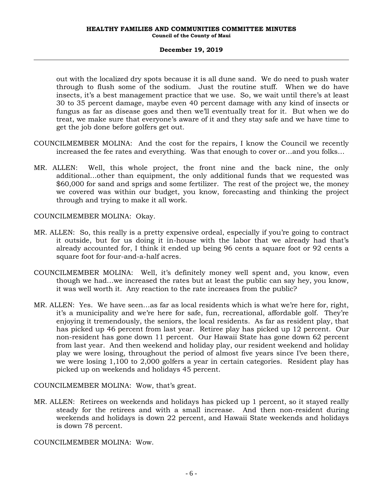out with the localized dry spots because it is all dune sand. We do need to push water through to flush some of the sodium. Just the routine stuff. When we do have insects, it's a best management practice that we use. So, we wait until there's at least 30 to 35 percent damage, maybe even 40 percent damage with any kind of insects or fungus as far as disease goes and then we'll eventually treat for it. But when we do treat, we make sure that everyone's aware of it and they stay safe and we have time to get the job done before golfers get out.

- COUNCILMEMBER MOLINA: And the cost for the repairs, I know the Council we recently increased the fee rates and everything. Was that enough to cover or…and you folks…
- MR. ALLEN: Well, this whole project, the front nine and the back nine, the only additional…other than equipment, the only additional funds that we requested was \$60,000 for sand and sprigs and some fertilizer. The rest of the project we, the money we covered was within our budget, you know, forecasting and thinking the project through and trying to make it all work.

COUNCILMEMBER MOLINA: Okay.

- MR. ALLEN: So, this really is a pretty expensive ordeal, especially if you're going to contract it outside, but for us doing it in-house with the labor that we already had that's already accounted for, I think it ended up being 96 cents a square foot or 92 cents a square foot for four-and-a-half acres.
- COUNCILMEMBER MOLINA: Well, it's definitely money well spent and, you know, even though we had…we increased the rates but at least the public can say hey, you know, it was well worth it. Any reaction to the rate increases from the public?
- MR. ALLEN: Yes. We have seen…as far as local residents which is what we're here for, right, it's a municipality and we're here for safe, fun, recreational, affordable golf. They're enjoying it tremendously, the seniors, the local residents. As far as resident play, that has picked up 46 percent from last year. Retiree play has picked up 12 percent. Our non-resident has gone down 11 percent. Our Hawaii State has gone down 62 percent from last year. And then weekend and holiday play, our resident weekend and holiday play we were losing, throughout the period of almost five years since I've been there, we were losing 1,100 to 2,000 golfers a year in certain categories. Resident play has picked up on weekends and holidays 45 percent.

COUNCILMEMBER MOLINA: Wow, that's great.

MR. ALLEN: Retirees on weekends and holidays has picked up 1 percent, so it stayed really steady for the retirees and with a small increase. And then non-resident during weekends and holidays is down 22 percent, and Hawaii State weekends and holidays is down 78 percent.

COUNCILMEMBER MOLINA: Wow.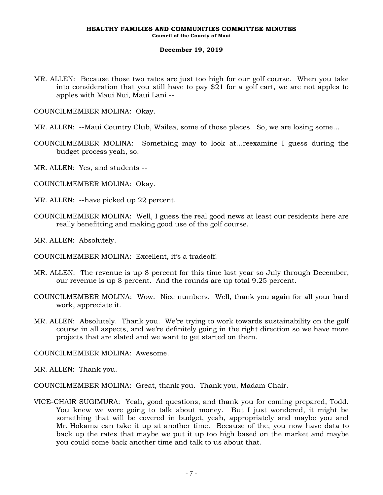MR. ALLEN: Because those two rates are just too high for our golf course. When you take into consideration that you still have to pay \$21 for a golf cart, we are not apples to apples with Maui Nui, Maui Lani --

COUNCILMEMBER MOLINA: Okay.

- MR. ALLEN: --Maui Country Club, Wailea, some of those places. So, we are losing some…
- COUNCILMEMBER MOLINA: Something may to look at…reexamine I guess during the budget process yeah, so.
- MR. ALLEN: Yes, and students --
- COUNCILMEMBER MOLINA: Okay.
- MR. ALLEN: --have picked up 22 percent.
- COUNCILMEMBER MOLINA: Well, I guess the real good news at least our residents here are really benefitting and making good use of the golf course.
- MR. ALLEN: Absolutely.
- COUNCILMEMBER MOLINA: Excellent, it's a tradeoff.
- MR. ALLEN: The revenue is up 8 percent for this time last year so July through December, our revenue is up 8 percent. And the rounds are up total 9.25 percent.
- COUNCILMEMBER MOLINA: Wow. Nice numbers. Well, thank you again for all your hard work, appreciate it.
- MR. ALLEN: Absolutely. Thank you. We're trying to work towards sustainability on the golf course in all aspects, and we're definitely going in the right direction so we have more projects that are slated and we want to get started on them.

COUNCILMEMBER MOLINA: Awesome.

MR. ALLEN: Thank you.

COUNCILMEMBER MOLINA: Great, thank you. Thank you, Madam Chair.

VICE-CHAIR SUGIMURA: Yeah, good questions, and thank you for coming prepared, Todd. You knew we were going to talk about money. But I just wondered, it might be something that will be covered in budget, yeah, appropriately and maybe you and Mr. Hokama can take it up at another time. Because of the, you now have data to back up the rates that maybe we put it up too high based on the market and maybe you could come back another time and talk to us about that.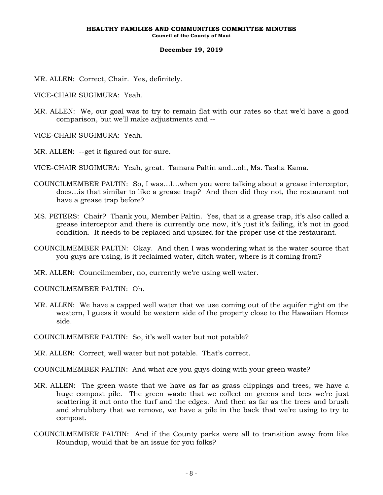MR. ALLEN: Correct, Chair. Yes, definitely.

VICE-CHAIR SUGIMURA: Yeah.

- MR. ALLEN: We, our goal was to try to remain flat with our rates so that we'd have a good comparison, but we'll make adjustments and --
- VICE-CHAIR SUGIMURA: Yeah.
- MR. ALLEN: --get it figured out for sure.

VICE-CHAIR SUGIMURA: Yeah, great. Tamara Paltin and...oh, Ms. Tasha Kama.

- COUNCILMEMBER PALTIN: So, I was…I…when you were talking about a grease interceptor, does…is that similar to like a grease trap? And then did they not, the restaurant not have a grease trap before?
- MS. PETERS: Chair? Thank you, Member Paltin. Yes, that is a grease trap, it's also called a grease interceptor and there is currently one now, it's just it's failing, it's not in good condition. It needs to be replaced and upsized for the proper use of the restaurant.
- COUNCILMEMBER PALTIN: Okay. And then I was wondering what is the water source that you guys are using, is it reclaimed water, ditch water, where is it coming from?

MR. ALLEN: Councilmember, no, currently we're using well water.

COUNCILMEMBER PALTIN: Oh.

MR. ALLEN: We have a capped well water that we use coming out of the aquifer right on the western, I guess it would be western side of the property close to the Hawaiian Homes side.

COUNCILMEMBER PALTIN: So, it's well water but not potable?

MR. ALLEN: Correct, well water but not potable. That's correct.

COUNCILMEMBER PALTIN: And what are you guys doing with your green waste?

- MR. ALLEN: The green waste that we have as far as grass clippings and trees, we have a huge compost pile. The green waste that we collect on greens and tees we're just scattering it out onto the turf and the edges. And then as far as the trees and brush and shrubbery that we remove, we have a pile in the back that we're using to try to compost.
- COUNCILMEMBER PALTIN: And if the County parks were all to transition away from like Roundup, would that be an issue for you folks?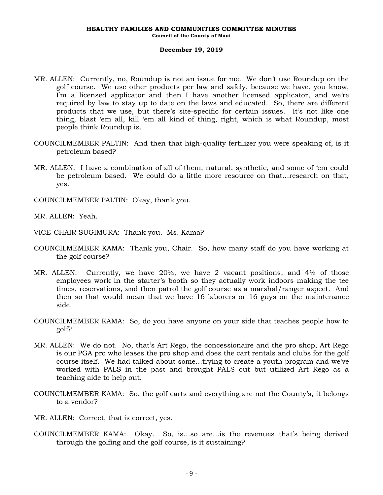- MR. ALLEN: Currently, no, Roundup is not an issue for me. We don't use Roundup on the golf course. We use other products per law and safely, because we have, you know, I'm a licensed applicator and then I have another licensed applicator, and we're required by law to stay up to date on the laws and educated. So, there are different products that we use, but there's site-specific for certain issues. It's not like one thing, blast 'em all, kill 'em all kind of thing, right, which is what Roundup, most people think Roundup is.
- COUNCILMEMBER PALTIN: And then that high-quality fertilizer you were speaking of, is it petroleum based?
- MR. ALLEN: I have a combination of all of them, natural, synthetic, and some of 'em could be petroleum based. We could do a little more resource on that…research on that, yes.
- COUNCILMEMBER PALTIN: Okay, thank you.

MR. ALLEN: Yeah.

- VICE-CHAIR SUGIMURA: Thank you. Ms. Kama?
- COUNCILMEMBER KAMA: Thank you, Chair. So, how many staff do you have working at the golf course?
- MR. ALLEN: Currently, we have  $20\frac{1}{2}$ , we have 2 vacant positions, and  $4\frac{1}{2}$  of those employees work in the starter's booth so they actually work indoors making the tee times, reservations, and then patrol the golf course as a marshal/ranger aspect. And then so that would mean that we have 16 laborers or 16 guys on the maintenance side.
- COUNCILMEMBER KAMA: So, do you have anyone on your side that teaches people how to golf?
- MR. ALLEN: We do not. No, that's Art Rego, the concessionaire and the pro shop, Art Rego is our PGA pro who leases the pro shop and does the cart rentals and clubs for the golf course itself. We had talked about some…trying to create a youth program and we've worked with PALS in the past and brought PALS out but utilized Art Rego as a teaching aide to help out.
- COUNCILMEMBER KAMA: So, the golf carts and everything are not the County's, it belongs to a vendor?
- MR. ALLEN: Correct, that is correct, yes.
- COUNCILMEMBER KAMA: Okay. So, is…so are…is the revenues that's being derived through the golfing and the golf course, is it sustaining?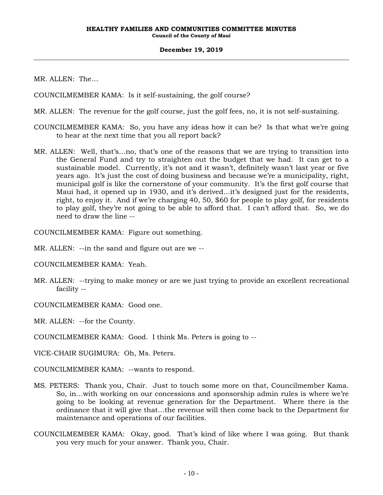MR. ALLEN: The…

COUNCILMEMBER KAMA: Is it self-sustaining, the golf course?

- MR. ALLEN: The revenue for the golf course, just the golf fees, no, it is not self-sustaining.
- COUNCILMEMBER KAMA: So, you have any ideas how it can be? Is that what we're going to hear at the next time that you all report back?
- MR. ALLEN: Well, that's…no, that's one of the reasons that we are trying to transition into the General Fund and try to straighten out the budget that we had. It can get to a sustainable model. Currently, it's not and it wasn't, definitely wasn't last year or five years ago. It's just the cost of doing business and because we're a municipality, right, municipal golf is like the cornerstone of your community. It's the first golf course that Maui had, it opened up in 1930, and it's derived…it's designed just for the residents, right, to enjoy it. And if we're charging 40, 50, \$60 for people to play golf, for residents to play golf, they're not going to be able to afford that. I can't afford that. So, we do need to draw the line --

COUNCILMEMBER KAMA: Figure out something.

- MR. ALLEN: --in the sand and figure out are we --
- COUNCILMEMBER KAMA: Yeah.
- MR. ALLEN: --trying to make money or are we just trying to provide an excellent recreational facility --
- COUNCILMEMBER KAMA: Good one.
- MR. ALLEN: --for the County.
- COUNCILMEMBER KAMA: Good. I think Ms. Peters is going to --
- VICE-CHAIR SUGIMURA: Oh, Ms. Peters.
- COUNCILMEMBER KAMA: --wants to respond.
- MS. PETERS: Thank you, Chair. Just to touch some more on that, Councilmember Kama. So, in…with working on our concessions and sponsorship admin rules is where we're going to be looking at revenue generation for the Department. Where there is the ordinance that it will give that…the revenue will then come back to the Department for maintenance and operations of our facilities.
- COUNCILMEMBER KAMA: Okay, good. That's kind of like where I was going. But thank you very much for your answer. Thank you, Chair.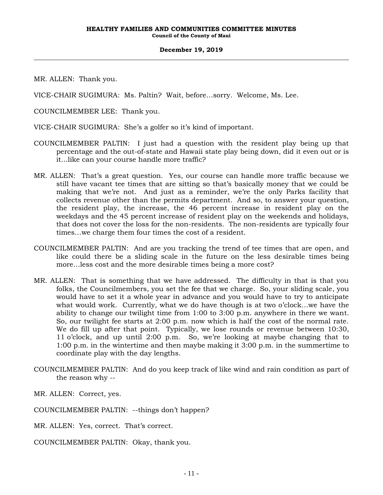MR. ALLEN: Thank you.

VICE-CHAIR SUGIMURA: Ms. Paltin? Wait, before…sorry. Welcome, Ms. Lee.

COUNCILMEMBER LEE: Thank you.

VICE-CHAIR SUGIMURA: She's a golfer so it's kind of important.

- COUNCILMEMBER PALTIN: I just had a question with the resident play being up that percentage and the out-of-state and Hawaii state play being down, did it even out or is it…like can your course handle more traffic?
- MR. ALLEN: That's a great question. Yes, our course can handle more traffic because we still have vacant tee times that are sitting so that's basically money that we could be making that we're not. And just as a reminder, we're the only Parks facility that collects revenue other than the permits department. And so, to answer your question, the resident play, the increase, the 46 percent increase in resident play on the weekdays and the 45 percent increase of resident play on the weekends and holidays, that does not cover the loss for the non-residents. The non-residents are typically four times…we charge them four times the cost of a resident.
- COUNCILMEMBER PALTIN: And are you tracking the trend of tee times that are open, and like could there be a sliding scale in the future on the less desirable times being more…less cost and the more desirable times being a more cost?
- MR. ALLEN: That is something that we have addressed. The difficulty in that is that you folks, the Councilmembers, you set the fee that we charge. So, your sliding scale, you would have to set it a whole year in advance and you would have to try to anticipate what would work. Currently, what we do have though is at two o'clock…we have the ability to change our twilight time from 1:00 to 3:00 p.m. anywhere in there we want. So, our twilight fee starts at 2:00 p.m. now which is half the cost of the normal rate. We do fill up after that point. Typically, we lose rounds or revenue between 10:30, 11 o'clock, and up until 2:00 p.m. So, we're looking at maybe changing that to 1:00 p.m. in the wintertime and then maybe making it 3:00 p.m. in the summertime to coordinate play with the day lengths.
- COUNCILMEMBER PALTIN: And do you keep track of like wind and rain condition as part of the reason why --

MR. ALLEN: Correct, yes.

COUNCILMEMBER PALTIN: --things don't happen?

MR. ALLEN: Yes, correct. That's correct.

COUNCILMEMBER PALTIN: Okay, thank you.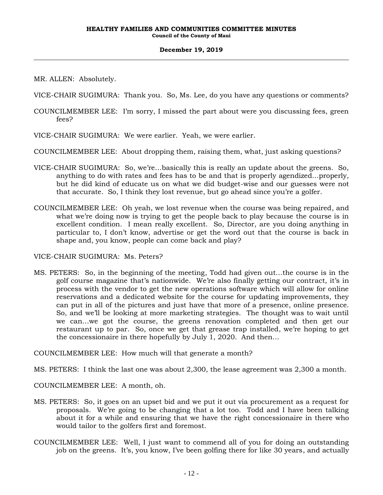MR. ALLEN: Absolutely.

VICE-CHAIR SUGIMURA: Thank you. So, Ms. Lee, do you have any questions or comments?

- COUNCILMEMBER LEE: I'm sorry, I missed the part about were you discussing fees, green fees?
- VICE-CHAIR SUGIMURA: We were earlier. Yeah, we were earlier.

COUNCILMEMBER LEE: About dropping them, raising them, what, just asking questions?

- VICE-CHAIR SUGIMURA: So, we're…basically this is really an update about the greens. So, anything to do with rates and fees has to be and that is properly agendized…properly, but he did kind of educate us on what we did budget-wise and our guesses were not that accurate. So, I think they lost revenue, but go ahead since you're a golfer.
- COUNCILMEMBER LEE: Oh yeah, we lost revenue when the course was being repaired, and what we're doing now is trying to get the people back to play because the course is in excellent condition. I mean really excellent. So, Director, are you doing anything in particular to, I don't know, advertise or get the word out that the course is back in shape and, you know, people can come back and play?

VICE-CHAIR SUGIMURA: Ms. Peters?

MS. PETERS: So, in the beginning of the meeting, Todd had given out…the course is in the golf course magazine that's nationwide. We're also finally getting our contract, it's in process with the vendor to get the new operations software which will allow for online reservations and a dedicated website for the course for updating improvements, they can put in all of the pictures and just have that more of a presence, online presence. So, and we'll be looking at more marketing strategies. The thought was to wait until we can…we got the course, the greens renovation completed and then get our restaurant up to par. So, once we get that grease trap installed, we're hoping to get the concessionaire in there hopefully by July 1, 2020. And then…

COUNCILMEMBER LEE: How much will that generate a month?

MS. PETERS: I think the last one was about 2,300, the lease agreement was 2,300 a month.

COUNCILMEMBER LEE: A month, oh.

- MS. PETERS: So, it goes on an upset bid and we put it out via procurement as a request for proposals. We're going to be changing that a lot too. Todd and I have been talking about it for a while and ensuring that we have the right concessionaire in there who would tailor to the golfers first and foremost.
- COUNCILMEMBER LEE: Well, I just want to commend all of you for doing an outstanding job on the greens. It's, you know, I've been golfing there for like 30 years, and actually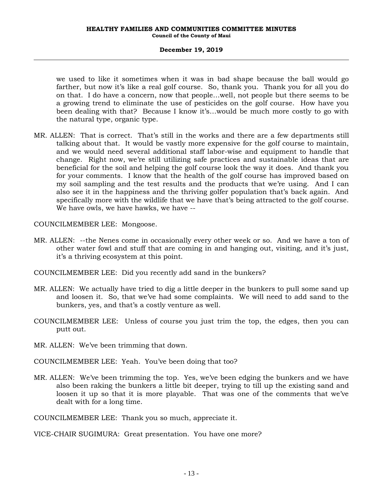we used to like it sometimes when it was in bad shape because the ball would go farther, but now it's like a real golf course. So, thank you. Thank you for all you do on that. I do have a concern, now that people…well, not people but there seems to be a growing trend to eliminate the use of pesticides on the golf course. How have you been dealing with that? Because I know it's…would be much more costly to go with the natural type, organic type.

MR. ALLEN: That is correct. That's still in the works and there are a few departments still talking about that. It would be vastly more expensive for the golf course to maintain, and we would need several additional staff labor-wise and equipment to handle that change. Right now, we're still utilizing safe practices and sustainable ideas that are beneficial for the soil and helping the golf course look the way it does. And thank you for your comments. I know that the health of the golf course has improved based on my soil sampling and the test results and the products that we're using. And I can also see it in the happiness and the thriving golfer population that's back again. And specifically more with the wildlife that we have that's being attracted to the golf course. We have owls, we have hawks, we have --

COUNCILMEMBER LEE: Mongoose.

- MR. ALLEN: --the Nenes come in occasionally every other week or so. And we have a ton of other water fowl and stuff that are coming in and hanging out, visiting, and it's just, it's a thriving ecosystem at this point.
- COUNCILMEMBER LEE: Did you recently add sand in the bunkers?
- MR. ALLEN: We actually have tried to dig a little deeper in the bunkers to pull some sand up and loosen it. So, that we've had some complaints. We will need to add sand to the bunkers, yes, and that's a costly venture as well.
- COUNCILMEMBER LEE: Unless of course you just trim the top, the edges, then you can putt out.
- MR. ALLEN: We've been trimming that down.

COUNCILMEMBER LEE: Yeah. You've been doing that too?

MR. ALLEN: We've been trimming the top. Yes, we've been edging the bunkers and we have also been raking the bunkers a little bit deeper, trying to till up the existing sand and loosen it up so that it is more playable. That was one of the comments that we've dealt with for a long time.

COUNCILMEMBER LEE: Thank you so much, appreciate it.

VICE-CHAIR SUGIMURA: Great presentation. You have one more?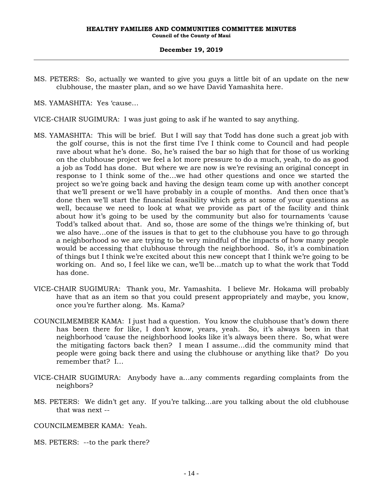MS. PETERS: So, actually we wanted to give you guys a little bit of an update on the new clubhouse, the master plan, and so we have David Yamashita here.

MS. YAMASHITA: Yes 'cause…

- VICE-CHAIR SUGIMURA: I was just going to ask if he wanted to say anything.
- MS. YAMASHITA: This will be brief. But I will say that Todd has done such a great job with the golf course, this is not the first time I've I think come to Council and had people rave about what he's done. So, he's raised the bar so high that for those of us working on the clubhouse project we feel a lot more pressure to do a much, yeah, to do as good a job as Todd has done. But where we are now is we're revising an original concept in response to I think some of the…we had other questions and once we started the project so we're going back and having the design team come up with another concept that we'll present or we'll have probably in a couple of months. And then once that's done then we'll start the financial feasibility which gets at some of your questions as well, because we need to look at what we provide as part of the facility and think about how it's going to be used by the community but also for tournaments 'cause Todd's talked about that. And so, those are some of the things we're thinking of, but we also have…one of the issues is that to get to the clubhouse you have to go through a neighborhood so we are trying to be very mindful of the impacts of how many people would be accessing that clubhouse through the neighborhood. So, it's a combination of things but I think we're excited about this new concept that I think we're going to be working on. And so, I feel like we can, we'll be…match up to what the work that Todd has done.
- VICE-CHAIR SUGIMURA: Thank you, Mr. Yamashita. I believe Mr. Hokama will probably have that as an item so that you could present appropriately and maybe, you know, once you're further along. Ms. Kama?
- COUNCILMEMBER KAMA: I just had a question. You know the clubhouse that's down there has been there for like, I don't know, years, yeah. So, it's always been in that neighborhood 'cause the neighborhood looks like it's always been there. So, what were the mitigating factors back then? I mean I assume…did the community mind that people were going back there and using the clubhouse or anything like that? Do you remember that? I…
- VICE-CHAIR SUGIMURA: Anybody have a…any comments regarding complaints from the neighbors?
- MS. PETERS: We didn't get any. If you're talking…are you talking about the old clubhouse that was next --
- COUNCILMEMBER KAMA: Yeah.
- MS. PETERS: --to the park there?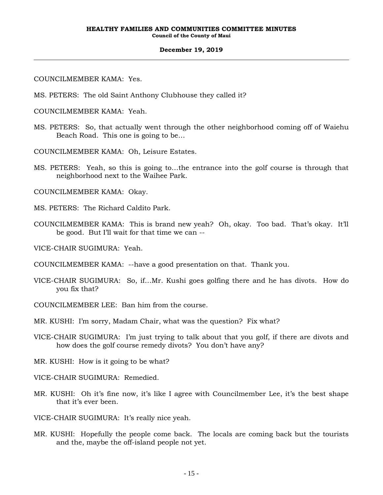COUNCILMEMBER KAMA: Yes.

MS. PETERS: The old Saint Anthony Clubhouse they called it?

COUNCILMEMBER KAMA: Yeah.

MS. PETERS: So, that actually went through the other neighborhood coming off of Waiehu Beach Road. This one is going to be…

COUNCILMEMBER KAMA: Oh, Leisure Estates.

MS. PETERS: Yeah, so this is going to…the entrance into the golf course is through that neighborhood next to the Waihee Park.

COUNCILMEMBER KAMA: Okay.

MS. PETERS: The Richard Caldito Park.

COUNCILMEMBER KAMA: This is brand new yeah? Oh, okay. Too bad. That's okay. It'll be good. But I'll wait for that time we can --

VICE-CHAIR SUGIMURA: Yeah.

- COUNCILMEMBER KAMA: --have a good presentation on that. Thank you.
- VICE-CHAIR SUGIMURA: So, if…Mr. Kushi goes golfing there and he has divots. How do you fix that?
- COUNCILMEMBER LEE: Ban him from the course.

MR. KUSHI: I'm sorry, Madam Chair, what was the question? Fix what?

VICE-CHAIR SUGIMURA: I'm just trying to talk about that you golf, if there are divots and how does the golf course remedy divots? You don't have any?

MR. KUSHI: How is it going to be what?

VICE-CHAIR SUGIMURA: Remedied.

MR. KUSHI: Oh it's fine now, it's like I agree with Councilmember Lee, it's the best shape that it's ever been.

VICE-CHAIR SUGIMURA: It's really nice yeah.

MR. KUSHI: Hopefully the people come back. The locals are coming back but the tourists and the, maybe the off-island people not yet.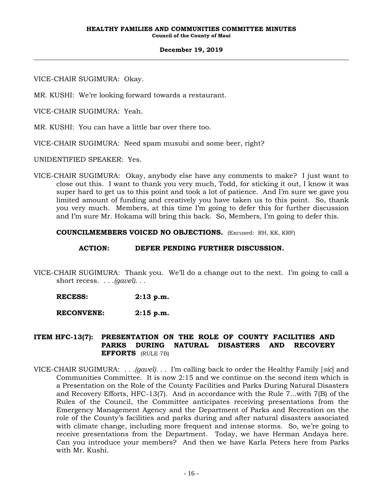VICE-CHAIR SUGIMURA: Okay.

MR. KUSHI: We're looking forward towards a restaurant.

VICE-CHAIR SUGIMURA: Yeah.

MR. KUSHI: You can have a little bar over there too.

VICE-CHAIR SUGIMURA: Need spam musubi and some beer, right?

UNIDENTIFIED SPEAKER: Yes.

VICE-CHAIR SUGIMURA: Okay, anybody else have any comments to make? I just want to close out this. I want to thank you very much, Todd, for sticking it out, I know it was super hard to get us to this point and took a lot of patience. And I'm sure we gave you limited amount of funding and creatively you have taken us to this point. So, thank you very much. Members, at this time I'm going to defer this for further discussion and I'm sure Mr. Hokama will bring this back. So, Members, I'm going to defer this.

**COUNCILMEMBERS VOICED NO OBJECTIONS.** (Excused: RH, KK, KRF)

## **ACTION: DEFER PENDING FURTHER DISCUSSION.**

VICE-CHAIR SUGIMURA: Thank you. We'll do a change out to the next. I'm going to call a short recess. *. . .(gavel). . .*

**RECESS: 2:13 p.m.**

**RECONVENE: 2:15 p.m.**

## **ITEM HFC-13(7): PRESENTATION ON THE ROLE OF COUNTY FACILITIES AND PARKS DURING NATURAL DISASTERS AND RECOVERY EFFORTS** (RULE 7B)

VICE-CHAIR SUGIMURA: *. . .(gavel). . .* I'm calling back to order the Healthy Family [*sic*] and Communities Committee. It is now 2:15 and we continue on the second item which is a Presentation on the Role of the County Facilities and Parks During Natural Disasters and Recovery Efforts, HFC-13(7). And in accordance with the Rule 7...with 7(B) of the Rules of the Council, the Committee anticipates receiving presentations from the Emergency Management Agency and the Department of Parks and Recreation on the role of the County's facilities and parks during and after natural disasters associated with climate change, including more frequent and intense storms. So, we're going to receive presentations from the Department. Today, we have Herman Andaya here. Can you introduce your members? And then we have Karla Peters here from Parks with Mr. Kushi.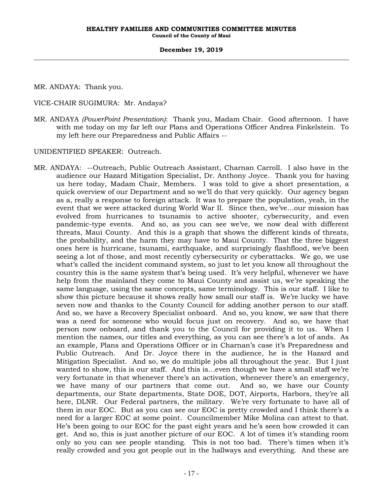MR. ANDAYA: Thank you.

VICE-CHAIR SUGIMURA: Mr. Andaya?

MR. ANDAYA *(PowerPoint Presentation)*: Thank you, Madam Chair. Good afternoon. I have with me today on my far left our Plans and Operations Officer Andrea Finkelstein. To my left here our Preparedness and Public Affairs --

UNIDENTIFIED SPEAKER: Outreach.

MR. ANDAYA: --Outreach, Public Outreach Assistant, Charnan Carroll. I also have in the audience our Hazard Mitigation Specialist, Dr. Anthony Joyce. Thank you for having us here today, Madam Chair, Members. I was told to give a short presentation, a quick overview of our Department and so we'll do that very quickly. Our agency began as a, really a response to foreign attack. It was to prepare the population, yeah, in the event that we were attacked during World War II. Since then, we've…our mission has evolved from hurricanes to tsunamis to active shooter, cybersecurity, and even pandemic-type events. And so, as you can see we've, we now deal with different threats, Maui County. And this is a graph that shows the different kinds of threats, the probability, and the harm they may have to Maui County. That the three biggest ones here is hurricane, tsunami, earthquake, and surprisingly flashflood, we've been seeing a lot of those, and most recently cybersecurity or cyberattacks. We go, we use what's called the incident command system, so just to let you know all throughout the country this is the same system that's being used. It's very helpful, whenever we have help from the mainland they come to Maui County and assist us, we're speaking the same language, using the same concepts, same terminology. This is our staff. I like to show this picture because it shows really how small our staff is. We're lucky we have seven now and thanks to the County Council for adding another person to our staff. And so, we have a Recovery Specialist onboard. And so, you know, we saw that there was a need for someone who would focus just on recovery. And so, we have that person now onboard, and thank you to the Council for providing it to us. When I mention the names, our titles and everything, as you can see there's a lot of ands. As an example, Plans and Operations Officer or in Charnan's case it's Preparedness and Public Outreach. And Dr. Joyce there in the audience, he is the Hazard and Mitigation Specialist. And so, we do multiple jobs all throughout the year. But I just wanted to show, this is our staff. And this is…even though we have a small staff we're very fortunate in that whenever there's an activation, whenever there's an emergency, we have many of our partners that come out. And so, we have our County departments, our State departments, State DOE, DOT, Airports, Harbors, they're all here, DLNR. Our Federal partners, the military. We're very fortunate to have all of them in our EOC. But as you can see our EOC is pretty crowded and I think there's a need for a larger EOC at some point. Councilmember Mike Molina can attest to that. He's been going to our EOC for the past eight years and he's seen how crowded it can get. And so, this is just another picture of our EOC. A lot of times it's standing room only so you can see people standing. This is not too bad. There's times when it's really crowded and you got people out in the hallways and everything. And these are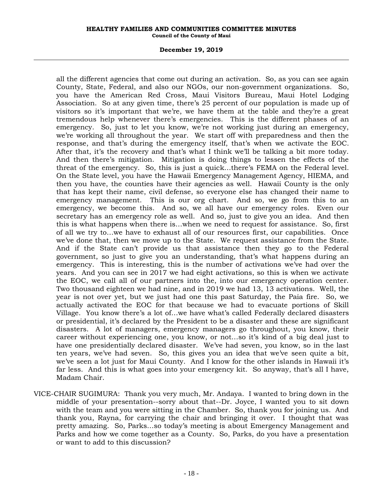#### **HEALTHY FAMILIES AND COMMUNITIES COMMITTEE MINUTES Council of the County of Maui**

#### **December 19, 2019**

all the different agencies that come out during an activation. So, as you can see again County, State, Federal, and also our NGOs, our non-government organizations. So, you have the American Red Cross, Maui Visitors Bureau, Maui Hotel Lodging Association. So at any given time, there's 25 percent of our population is made up of visitors so it's important that we're, we have them at the table and they're a great tremendous help whenever there's emergencies. This is the different phases of an emergency. So, just to let you know, we're not working just during an emergency, we're working all throughout the year. We start off with preparedness and then the response, and that's during the emergency itself, that's when we activate the EOC. After that, it's the recovery and that's what I think we'll be talking a bit more today. And then there's mitigation. Mitigation is doing things to lessen the effects of the threat of the emergency. So, this is just a quick…there's FEMA on the Federal level. On the State level, you have the Hawaii Emergency Management Agency, HIEMA, and then you have, the counties have their agencies as well. Hawaii County is the only that has kept their name, civil defense, so everyone else has changed their name to emergency management. This is our org chart. And so, we go from this to an emergency, we become this. And so, we all have our emergency roles. Even our secretary has an emergency role as well. And so, just to give you an idea. And then this is what happens when there is…when we need to request for assistance. So, first of all we try to…we have to exhaust all of our resources first, our capabilities. Once we've done that, then we move up to the State. We request assistance from the State. And if the State can't provide us that assistance then they go to the Federal government, so just to give you an understanding, that's what happens during an emergency. This is interesting, this is the number of activations we've had over the years. And you can see in 2017 we had eight activations, so this is when we activate the EOC, we call all of our partners into the, into our emergency operation center. Two thousand eighteen we had nine, and in 2019 we had 13, 13 activations. Well, the year is not over yet, but we just had one this past Saturday, the Paia fire. So, we actually activated the EOC for that because we had to evacuate portions of Skill Village. You know there's a lot of…we have what's called Federally declared disasters or presidential, it's declared by the President to be a disaster and these are significant disasters. A lot of managers, emergency managers go throughout, you know, their career without experiencing one, you know, or not…so it's kind of a big deal just to have one presidentially declared disaster. We've had seven, you know, so in the last ten years, we've had seven. So, this gives you an idea that we've seen quite a bit, we've seen a lot just for Maui County. And I know for the other islands in Hawaii it's far less. And this is what goes into your emergency kit. So anyway, that's all I have, Madam Chair.

VICE-CHAIR SUGIMURA: Thank you very much, Mr. Andaya. I wanted to bring down in the middle of your presentation--sorry about that--Dr. Joyce, I wanted you to sit down with the team and you were sitting in the Chamber. So, thank you for joining us. And thank you, Rayna, for carrying the chair and bringing it over. I thought that was pretty amazing. So, Parks…so today's meeting is about Emergency Management and Parks and how we come together as a County. So, Parks, do you have a presentation or want to add to this discussion?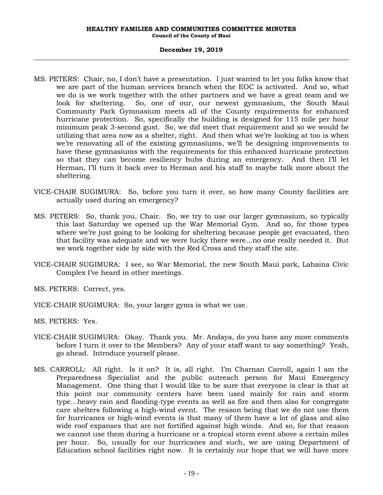- MS. PETERS: Chair, no, I don't have a presentation. I just wanted to let you folks know that we are part of the human services branch when the EOC is activated. And so, what we do is we work together with the other partners and we have a great team and we look for sheltering. So, one of our, our newest gymnasium, the South Maui Community Park Gymnasium meets all of the County requirements for enhanced hurricane protection. So, specifically the building is designed for 115 mile per hour minimum peak 3-second gust. So, we did meet that requirement and so we would be utilizing that area now as a shelter, right. And then what we're looking at too is when we're renovating all of the existing gymnasiums, we'll be designing improvements to have these gymnasiums with the requirements for this enhanced hurricane protection so that they can become resiliency hubs during an emergency. And then I'll let Herman, I'll turn it back over to Herman and his staff to maybe talk more about the sheltering.
- VICE-CHAIR SUGIMURA: So, before you turn it over, so how many County facilities are actually used during an emergency?
- MS. PETERS: So, thank you, Chair. So, we try to use our larger gymnasium, so typically this last Saturday we opened up the War Memorial Gym. And so, for those types where we're just going to be looking for sheltering because people get evacuated, then that facility was adequate and we were lucky there were…no one really needed it. But we work together side by side with the Red Cross and they staff the site.
- VICE-CHAIR SUGIMURA: I see, so War Memorial, the new South Maui park, Lahaina Civic Complex I've heard in other meetings.

MS. PETERS: Correct, yes.

VICE-CHAIR SUGIMURA: So, your larger gyms is what we use.

MS. PETERS: Yes.

- VICE-CHAIR SUGIMURA: Okay. Thank you. Mr. Andaya, do you have any more comments before I turn it over to the Members? Any of your staff want to say something? Yeah, go ahead. Introduce yourself please.
- MS. CARROLL: All right. Is it on? It is, all right. I'm Charnan Carroll, again I am the Preparedness Specialist and the public outreach person for Maui Emergency Management. One thing that I would like to be sure that everyone is clear is that at this point our community centers have been used mainly for rain and storm type…heavy rain and flooding-type events as well as fire and then also for congregate care shelters following a high-wind event. The reason being that we do not use them for hurricanes or high-wind events is that many of them have a lot of glass and also wide roof expanses that are not fortified against high winds. And so, for that reason we cannot use them during a hurricane or a tropical storm event above a certain miles per hour. So, usually for our hurricanes and such, we are using Department of Education school facilities right now. It is certainly our hope that we will have more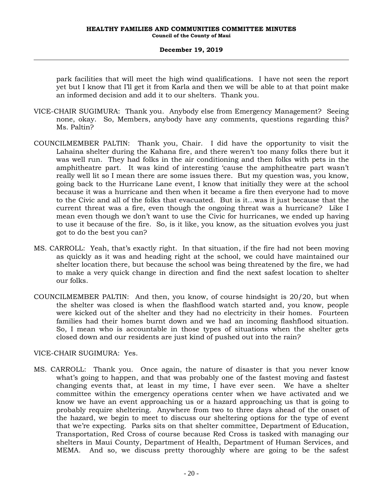park facilities that will meet the high wind qualifications. I have not seen the report yet but I know that I'll get it from Karla and then we will be able to at that point make an informed decision and add it to our shelters. Thank you.

- VICE-CHAIR SUGIMURA: Thank you. Anybody else from Emergency Management? Seeing none, okay. So, Members, anybody have any comments, questions regarding this? Ms. Paltin?
- COUNCILMEMBER PALTIN: Thank you, Chair. I did have the opportunity to visit the Lahaina shelter during the Kahana fire, and there weren't too many folks there but it was well run. They had folks in the air conditioning and then folks with pets in the amphitheatre part. It was kind of interesting 'cause the amphitheatre part wasn't really well lit so I mean there are some issues there. But my question was, you know, going back to the Hurricane Lane event, I know that initially they were at the school because it was a hurricane and then when it became a fire then everyone had to move to the Civic and all of the folks that evacuated. But is it…was it just because that the current threat was a fire, even though the ongoing threat was a hurricane? Like I mean even though we don't want to use the Civic for hurricanes, we ended up having to use it because of the fire. So, is it like, you know, as the situation evolves you just got to do the best you can?
- MS. CARROLL: Yeah, that's exactly right. In that situation, if the fire had not been moving as quickly as it was and heading right at the school, we could have maintained our shelter location there, but because the school was being threatened by the fire, we had to make a very quick change in direction and find the next safest location to shelter our folks.
- COUNCILMEMBER PALTIN: And then, you know, of course hindsight is 20/20, but when the shelter was closed is when the flashflood watch started and, you know, people were kicked out of the shelter and they had no electricity in their homes. Fourteen families had their homes burnt down and we had an incoming flashflood situation. So, I mean who is accountable in those types of situations when the shelter gets closed down and our residents are just kind of pushed out into the rain?

## VICE-CHAIR SUGIMURA: Yes.

MS. CARROLL: Thank you. Once again, the nature of disaster is that you never know what's going to happen, and that was probably one of the fastest moving and fastest changing events that, at least in my time, I have ever seen. We have a shelter committee within the emergency operations center when we have activated and we know we have an event approaching us or a hazard approaching us that is going to probably require sheltering. Anywhere from two to three days ahead of the onset of the hazard, we begin to meet to discuss our sheltering options for the type of event that we're expecting. Parks sits on that shelter committee, Department of Education, Transportation, Red Cross of course because Red Cross is tasked with managing our shelters in Maui County, Department of Health, Department of Human Services, and MEMA. And so, we discuss pretty thoroughly where are going to be the safest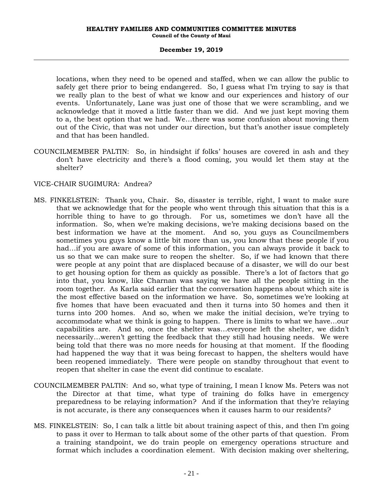locations, when they need to be opened and staffed, when we can allow the public to safely get there prior to being endangered. So, I guess what I'm trying to say is that we really plan to the best of what we know and our experiences and history of our events. Unfortunately, Lane was just one of those that we were scrambling, and we acknowledge that it moved a little faster than we did. And we just kept moving them to a, the best option that we had. We…there was some confusion about moving them out of the Civic, that was not under our direction, but that's another issue completely and that has been handled.

COUNCILMEMBER PALTIN: So, in hindsight if folks' houses are covered in ash and they don't have electricity and there's a flood coming, you would let them stay at the shelter?

# VICE-CHAIR SUGIMURA: Andrea?

- MS. FINKELSTEIN: Thank you, Chair. So, disaster is terrible, right, I want to make sure that we acknowledge that for the people who went through this situation that this is a horrible thing to have to go through. For us, sometimes we don't have all the information. So, when we're making decisions, we're making decisions based on the best information we have at the moment. And so, you guys as Councilmembers sometimes you guys know a little bit more than us, you know that these people if you had…if you are aware of some of this information, you can always provide it back to us so that we can make sure to reopen the shelter. So, if we had known that there were people at any point that are displaced because of a disaster, we will do our best to get housing option for them as quickly as possible. There's a lot of factors that go into that, you know, like Charnan was saying we have all the people sitting in the room together. As Karla said earlier that the conversation happens about which site is the most effective based on the information we have. So, sometimes we're looking at five homes that have been evacuated and then it turns into 50 homes and then it turns into 200 homes. And so, when we make the initial decision, we're trying to accommodate what we think is going to happen. There is limits to what we have…our capabilities are. And so, once the shelter was…everyone left the shelter, we didn't necessarily…weren't getting the feedback that they still had housing needs. We were being told that there was no more needs for housing at that moment. If the flooding had happened the way that it was being forecast to happen, the shelters would have been reopened immediately. There were people on standby throughout that event to reopen that shelter in case the event did continue to escalate.
- COUNCILMEMBER PALTIN: And so, what type of training, I mean I know Ms. Peters was not the Director at that time, what type of training do folks have in emergency preparedness to be relaying information? And if the information that they're relaying is not accurate, is there any consequences when it causes harm to our residents?
- MS. FINKELSTEIN: So, I can talk a little bit about training aspect of this, and then I'm going to pass it over to Herman to talk about some of the other parts of that question. From a training standpoint, we do train people on emergency operations structure and format which includes a coordination element. With decision making over sheltering,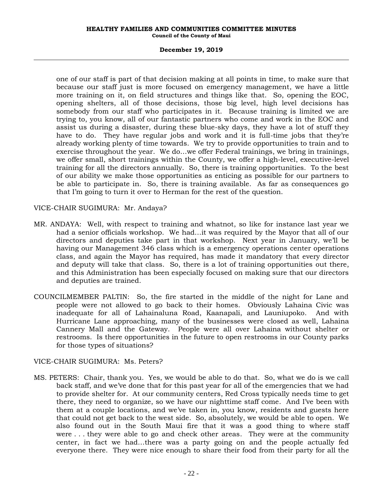#### **HEALTHY FAMILIES AND COMMUNITIES COMMITTEE MINUTES Council of the County of Maui**

#### **December 19, 2019**

one of our staff is part of that decision making at all points in time, to make sure that because our staff just is more focused on emergency management, we have a little more training on it, on field structures and things like that. So, opening the EOC, opening shelters, all of those decisions, those big level, high level decisions has somebody from our staff who participates in it. Because training is limited we are trying to, you know, all of our fantastic partners who come and work in the EOC and assist us during a disaster, during these blue-sky days, they have a lot of stuff they have to do. They have regular jobs and work and it is full-time jobs that they're already working plenty of time towards. We try to provide opportunities to train and to exercise throughout the year. We do…we offer Federal trainings, we bring in trainings, we offer small, short trainings within the County, we offer a high-level, executive-level training for all the directors annually. So, there is training opportunities. To the best of our ability we make those opportunities as enticing as possible for our partners to be able to participate in. So, there is training available. As far as consequences go that I'm going to turn it over to Herman for the rest of the question.

## VICE-CHAIR SUGIMURA: Mr. Andaya?

- MR. ANDAYA: Well, with respect to training and whatnot, so like for instance last year we had a senior officials workshop. We had…it was required by the Mayor that all of our directors and deputies take part in that workshop. Next year in January, we'll be having our Management 346 class which is a emergency operations center operations class, and again the Mayor has required, has made it mandatory that every director and deputy will take that class. So, there is a lot of training opportunities out there, and this Administration has been especially focused on making sure that our directors and deputies are trained.
- COUNCILMEMBER PALTIN: So, the fire started in the middle of the night for Lane and people were not allowed to go back to their homes. Obviously Lahaina Civic was inadequate for all of Lahainaluna Road, Kaanapali, and Launiupoko. And with Hurricane Lane approaching, many of the businesses were closed as well, Lahaina Cannery Mall and the Gateway. People were all over Lahaina without shelter or restrooms. Is there opportunities in the future to open restrooms in our County parks for those types of situations?

## VICE-CHAIR SUGIMURA: Ms. Peters?

MS. PETERS: Chair, thank you. Yes, we would be able to do that. So, what we do is we call back staff, and we've done that for this past year for all of the emergencies that we had to provide shelter for. At our community centers, Red Cross typically needs time to get there, they need to organize, so we have our nighttime staff come. And I've been with them at a couple locations, and we've taken in, you know, residents and guests here that could not get back to the west side. So, absolutely, we would be able to open. We also found out in the South Maui fire that it was a good thing to where staff were . . . they were able to go and check other areas. They were at the community center, in fact we had…there was a party going on and the people actually fed everyone there. They were nice enough to share their food from their party for all the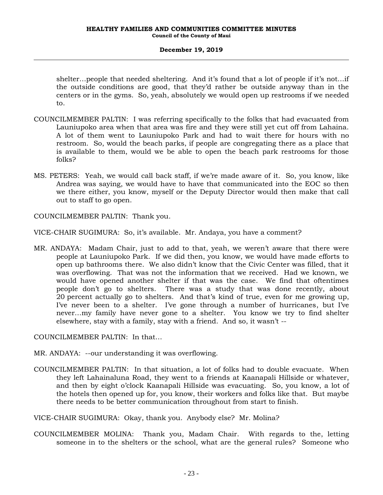shelter…people that needed sheltering. And it's found that a lot of people if it's not…if the outside conditions are good, that they'd rather be outside anyway than in the centers or in the gyms. So, yeah, absolutely we would open up restrooms if we needed to.

- COUNCILMEMBER PALTIN: I was referring specifically to the folks that had evacuated from Launiupoko area when that area was fire and they were still yet cut off from Lahaina. A lot of them went to Launiupoko Park and had to wait there for hours with no restroom. So, would the beach parks, if people are congregating there as a place that is available to them, would we be able to open the beach park restrooms for those folks?
- MS. PETERS: Yeah, we would call back staff, if we're made aware of it. So, you know, like Andrea was saying, we would have to have that communicated into the EOC so then we there either, you know, myself or the Deputy Director would then make that call out to staff to go open.

COUNCILMEMBER PALTIN: Thank you.

VICE-CHAIR SUGIMURA: So, it's available. Mr. Andaya, you have a comment?

MR. ANDAYA: Madam Chair, just to add to that, yeah, we weren't aware that there were people at Launiupoko Park. If we did then, you know, we would have made efforts to open up bathrooms there. We also didn't know that the Civic Center was filled, that it was overflowing. That was not the information that we received. Had we known, we would have opened another shelter if that was the case. We find that oftentimes people don't go to shelters. There was a study that was done recently, about 20 percent actually go to shelters. And that's kind of true, even for me growing up, I've never been to a shelter. I've gone through a number of hurricanes, but I've never…my family have never gone to a shelter. You know we try to find shelter elsewhere, stay with a family, stay with a friend. And so, it wasn't --

COUNCILMEMBER PALTIN: In that…

MR. ANDAYA: --our understanding it was overflowing.

COUNCILMEMBER PALTIN: In that situation, a lot of folks had to double evacuate. When they left Lahainaluna Road, they went to a friends at Kaanapali Hillside or whatever, and then by eight o'clock Kaanapali Hillside was evacuating. So, you know, a lot of the hotels then opened up for, you know, their workers and folks like that. But maybe there needs to be better communication throughout from start to finish.

VICE-CHAIR SUGIMURA: Okay, thank you. Anybody else? Mr. Molina?

COUNCILMEMBER MOLINA: Thank you, Madam Chair. With regards to the, letting someone in to the shelters or the school, what are the general rules? Someone who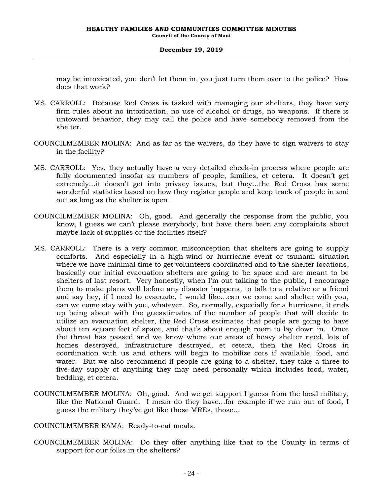may be intoxicated, you don't let them in, you just turn them over to the police? How does that work?

- MS. CARROLL: Because Red Cross is tasked with managing our shelters, they have very firm rules about no intoxication, no use of alcohol or drugs, no weapons. If there is untoward behavior, they may call the police and have somebody removed from the shelter.
- COUNCILMEMBER MOLINA: And as far as the waivers, do they have to sign waivers to stay in the facility?
- MS. CARROLL: Yes, they actually have a very detailed check-in process where people are fully documented insofar as numbers of people, families, et cetera. It doesn't get extremely…it doesn't get into privacy issues, but they…the Red Cross has some wonderful statistics based on how they register people and keep track of people in and out as long as the shelter is open.
- COUNCILMEMBER MOLINA: Oh, good. And generally the response from the public, you know, I guess we can't please everybody, but have there been any complaints about maybe lack of supplies or the facilities itself?
- MS. CARROLL: There is a very common misconception that shelters are going to supply comforts. And especially in a high-wind or hurricane event or tsunami situation where we have minimal time to get volunteers coordinated and to the shelter locations, basically our initial evacuation shelters are going to be space and are meant to be shelters of last resort. Very honestly, when I'm out talking to the public, I encourage them to make plans well before any disaster happens, to talk to a relative or a friend and say hey, if I need to evacuate, I would like…can we come and shelter with you, can we come stay with you, whatever. So, normally, especially for a hurricane, it ends up being about with the guesstimates of the number of people that will decide to utilize an evacuation shelter, the Red Cross estimates that people are going to have about ten square feet of space, and that's about enough room to lay down in. Once the threat has passed and we know where our areas of heavy shelter need, lots of homes destroyed, infrastructure destroyed, et cetera, then the Red Cross in coordination with us and others will begin to mobilize cots if available, food, and water. But we also recommend if people are going to a shelter, they take a three to five-day supply of anything they may need personally which includes food, water, bedding, et cetera.
- COUNCILMEMBER MOLINA: Oh, good. And we get support I guess from the local military, like the National Guard. I mean do they have…for example if we run out of food, I guess the military they've got like those MREs, those…

COUNCILMEMBER KAMA: Ready-to-eat meals.

COUNCILMEMBER MOLINA: Do they offer anything like that to the County in terms of support for our folks in the shelters?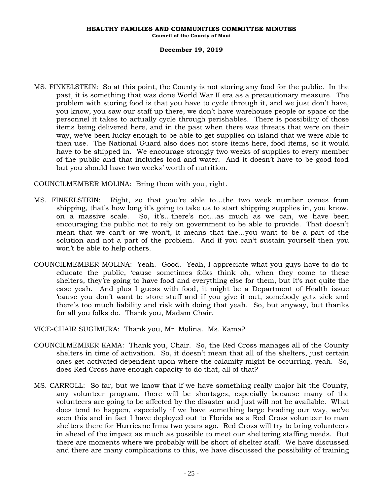#### **HEALTHY FAMILIES AND COMMUNITIES COMMITTEE MINUTES Council of the County of Maui**

#### **December 19, 2019**

MS. FINKELSTEIN: So at this point, the County is not storing any food for the public. In the past, it is something that was done World War II era as a precautionary measure. The problem with storing food is that you have to cycle through it, and we just don't have, you know, you saw our staff up there, we don't have warehouse people or space or the personnel it takes to actually cycle through perishables. There is possibility of those items being delivered here, and in the past when there was threats that were on their way, we've been lucky enough to be able to get supplies on island that we were able to then use. The National Guard also does not store items here, food items, so it would have to be shipped in. We encourage strongly two weeks of supplies to every member of the public and that includes food and water. And it doesn't have to be good food but you should have two weeks' worth of nutrition.

COUNCILMEMBER MOLINA: Bring them with you, right.

- MS. FINKELSTEIN: Right, so that you're able to…the two week number comes from shipping, that's how long it's going to take us to start shipping supplies in, you know, on a massive scale. So, it's…there's not…as much as we can, we have been encouraging the public not to rely on government to be able to provide. That doesn't mean that we can't or we won't, it means that the…you want to be a part of the solution and not a part of the problem. And if you can't sustain yourself then you won't be able to help others.
- COUNCILMEMBER MOLINA: Yeah. Good. Yeah, I appreciate what you guys have to do to educate the public, 'cause sometimes folks think oh, when they come to these shelters, they're going to have food and everything else for them, but it's not quite the case yeah. And plus I guess with food, it might be a Department of Health issue 'cause you don't want to store stuff and if you give it out, somebody gets sick and there's too much liability and risk with doing that yeah. So, but anyway, but thanks for all you folks do. Thank you, Madam Chair.

VICE-CHAIR SUGIMURA: Thank you, Mr. Molina. Ms. Kama?

- COUNCILMEMBER KAMA: Thank you, Chair. So, the Red Cross manages all of the County shelters in time of activation. So, it doesn't mean that all of the shelters, just certain ones get activated dependent upon where the calamity might be occurring, yeah. So, does Red Cross have enough capacity to do that, all of that?
- MS. CARROLL: So far, but we know that if we have something really major hit the County, any volunteer program, there will be shortages, especially because many of the volunteers are going to be affected by the disaster and just will not be available. What does tend to happen, especially if we have something large heading our way, we've seen this and in fact I have deployed out to Florida as a Red Cross volunteer to man shelters there for Hurricane Irma two years ago. Red Cross will try to bring volunteers in ahead of the impact as much as possible to meet our sheltering staffing needs. But there are moments where we probably will be short of shelter staff. We have discussed and there are many complications to this, we have discussed the possibility of training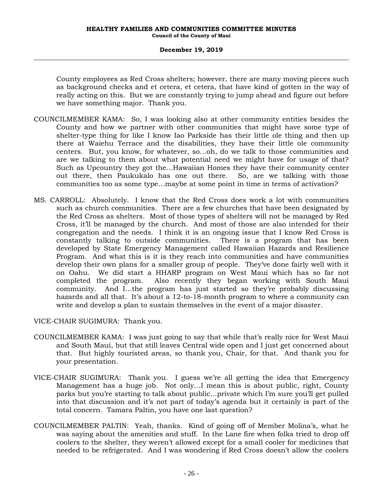County employees as Red Cross shelters; however, there are many moving pieces such as background checks and et cetera, et cetera, that have kind of gotten in the way of really acting on this. But we are constantly trying to jump ahead and figure out before we have something major. Thank you.

- COUNCILMEMBER KAMA: So, I was looking also at other community entities besides the County and how we partner with other communities that might have some type of shelter-type thing for like I know Iao Parkside has their little ole thing and then up there at Waiehu Terrace and the disabilities, they have their little ole community centers. But, you know, for whatever, so…oh, do we talk to those communities and are we talking to them about what potential need we might have for usage of that? Such as Upcountry they got the…Hawaiian Homes they have their community center out there, then Paukukalo has one out there. So, are we talking with those communities too as some type…maybe at some point in time in terms of activation?
- MS. CARROLL: Absolutely. I know that the Red Cross does work a lot with communities such as church communities. There are a few churches that have been designated by the Red Cross as shelters. Most of those types of shelters will not be managed by Red Cross, it'll be managed by the church. And most of those are also intended for their congregation and the needs. I think it is an ongoing issue that I know Red Cross is constantly talking to outside communities. There is a program that has been developed by State Emergency Management called Hawaiian Hazards and Resilience Program. And what this is it is they reach into communities and have communities develop their own plans for a smaller group of people. They've done fairly well with it on Oahu. We did start a HHARP program on West Maui which has so far not completed the program. Also recently they began working with South Maui community. And I…the program has just started so they're probably discussing hazards and all that. It's about a 12-to-18-month program to where a community can write and develop a plan to sustain themselves in the event of a major disaster.

VICE-CHAIR SUGIMURA: Thank you.

- COUNCILMEMBER KAMA: I was just going to say that while that's really nice for West Maui and South Maui, but that still leaves Central wide open and I just get concerned about that. But highly touristed areas, so thank you, Chair, for that. And thank you for your presentation.
- VICE-CHAIR SUGIMURA: Thank you. I guess we're all getting the idea that Emergency Management has a huge job. Not only…I mean this is about public, right, County parks but you're starting to talk about public…private which I'm sure you'll get pulled into that discussion and it's not part of today's agenda but it certainly is part of the total concern. Tamara Paltin, you have one last question?
- COUNCILMEMBER PALTIN: Yeah, thanks. Kind of going off of Member Molina's, what he was saying about the amenities and stuff. In the Lane fire when folks tried to drop off coolers to the shelter, they weren't allowed except for a small cooler for medicines that needed to be refrigerated. And I was wondering if Red Cross doesn't allow the coolers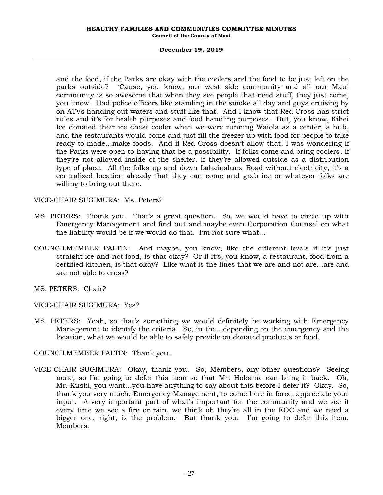#### **HEALTHY FAMILIES AND COMMUNITIES COMMITTEE MINUTES Council of the County of Maui**

#### **December 19, 2019**

and the food, if the Parks are okay with the coolers and the food to be just left on the parks outside? 'Cause, you know, our west side community and all our Maui community is so awesome that when they see people that need stuff, they just come, you know. Had police officers like standing in the smoke all day and guys cruising by on ATVs handing out waters and stuff like that. And I know that Red Cross has strict rules and it's for health purposes and food handling purposes. But, you know, Kihei Ice donated their ice chest cooler when we were running Waiola as a center, a hub, and the restaurants would come and just fill the freezer up with food for people to take ready-to-made…make foods. And if Red Cross doesn't allow that, I was wondering if the Parks were open to having that be a possibility. If folks come and bring coolers, if they're not allowed inside of the shelter, if they're allowed outside as a distribution type of place. All the folks up and down Lahainaluna Road without electricity, it's a centralized location already that they can come and grab ice or whatever folks are willing to bring out there.

VICE-CHAIR SUGIMURA: Ms. Peters?

- MS. PETERS: Thank you. That's a great question. So, we would have to circle up with Emergency Management and find out and maybe even Corporation Counsel on what the liability would be if we would do that. I'm not sure what…
- COUNCILMEMBER PALTIN: And maybe, you know, like the different levels if it's just straight ice and not food, is that okay? Or if it's, you know, a restaurant, food from a certified kitchen, is that okay? Like what is the lines that we are and not are…are and are not able to cross?
- MS. PETERS: Chair?

VICE-CHAIR SUGIMURA: Yes?

MS. PETERS: Yeah, so that's something we would definitely be working with Emergency Management to identify the criteria. So, in the…depending on the emergency and the location, what we would be able to safely provide on donated products or food.

COUNCILMEMBER PALTIN: Thank you.

VICE-CHAIR SUGIMURA: Okay, thank you. So, Members, any other questions? Seeing none, so I'm going to defer this item so that Mr. Hokama can bring it back. Oh, Mr. Kushi, you want…you have anything to say about this before I defer it? Okay. So, thank you very much, Emergency Management, to come here in force, appreciate your input. A very important part of what's important for the community and we see it every time we see a fire or rain, we think oh they're all in the EOC and we need a bigger one, right, is the problem. But thank you. I'm going to defer this item, Members.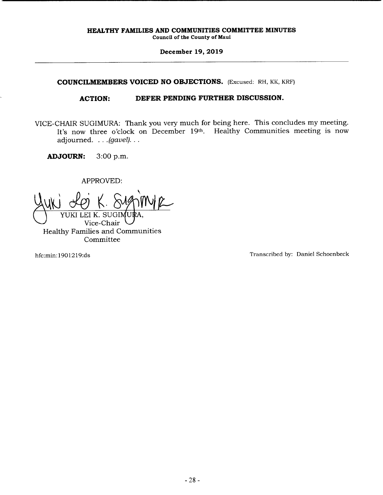### **COUNCILMEMBERS VOICED NO OBJECTIONS.** (Excused: RH, KK, KRF)

### **ACTION: DEFER PENDING FURTHER DISCUSSION.**

VICE-CHAIR SUGIMURA: Thank you very much for being here. This concludes my meeting. It's now three o'clock on December 19th. Healthy Communities meeting is now adjourned.  $\ldots$  (gavel).  $\ldots$ 

**ADJOURN:** 3:00 p.m.

APPROVED:

YUKI

Vice-Chair Healthy Families and Communities Committee

hfc:min: 190 1219:ds Transcribed by: Daniel Schoenbeck